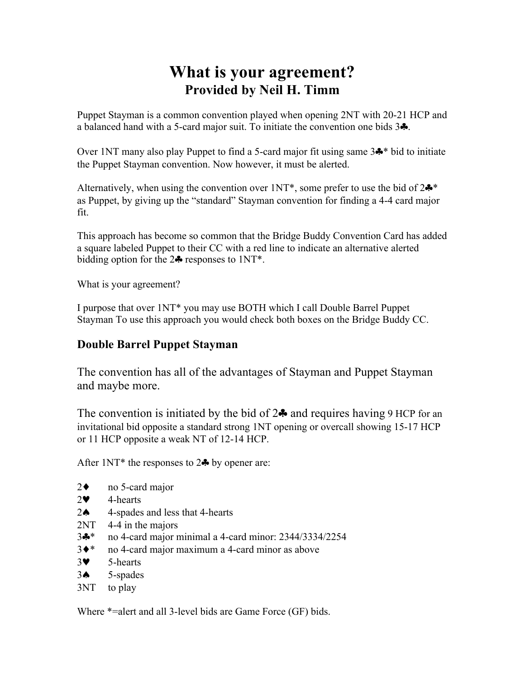## **What is your agreement? Provided by Neil H. Timm**

Puppet Stayman is a common convention played when opening 2NT with 20-21 HCP and a balanced hand with a 5-card major suit. To initiate the convention one bids 3♣.

Over 1NT many also play Puppet to find a 5-card major fit using same 3♣\* bid to initiate the Puppet Stayman convention. Now however, it must be alerted.

Alternatively, when using the convention over  $1NT^*$ , some prefer to use the bid of  $2\clubsuit^*$ as Puppet, by giving up the "standard" Stayman convention for finding a 4-4 card major fit.

This approach has become so common that the Bridge Buddy Convention Card has added a square labeled Puppet to their CC with a red line to indicate an alternative alerted bidding option for the  $2\clubsuit$  responses to  $1\text{NT}^*$ .

What is your agreement?

I purpose that over 1NT\* you may use BOTH which I call Double Barrel Puppet Stayman To use this approach you would check both boxes on the Bridge Buddy CC.

## **Double Barrel Puppet Stayman**

The convention has all of the advantages of Stayman and Puppet Stayman and maybe more.

The convention is initiated by the bid of  $2\clubsuit$  and requires having 9 HCP for an invitational bid opposite a standard strong 1NT opening or overcall showing 15-17 HCP or 11 HCP opposite a weak NT of 12-14 HCP.

After  $1NT^*$  the responses to  $2\clubsuit$  by opener are:

- 2♦ no 5-card major
- 2♥ 4-hearts
- 2♠ 4-spades and less that 4-hearts
- 2NT 4-4 in the majors
- 3♣\* no 4-card major minimal a 4-card minor: 2344/3334/2254
- 3♦\* no 4-card major maximum a 4-card minor as above
- 3♥ 5-hearts
- 3♠ 5-spades
- 3NT to play

Where \*=alert and all 3-level bids are Game Force (GF) bids.